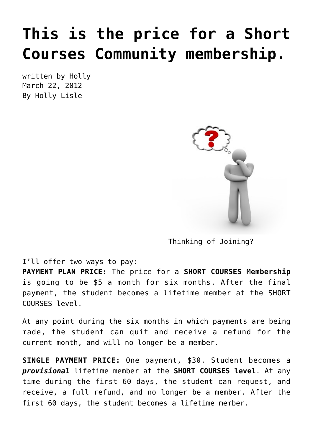# **[This is the price for a Short](https://hollylisle.com/this-is-the-price-for-a-short-courses-community-membership/) [Courses Community membership.](https://hollylisle.com/this-is-the-price-for-a-short-courses-community-membership/)**

written by Holly March 22, 2012 [By Holly Lisle](https://hollylisle.com)



Thinking of Joining?

I'll offer two ways to pay:

**PAYMENT PLAN PRICE:** The price for a **[SHORT COURSES Membership](http://howtothinksideways.com/short-courses-intro/)** is going to be \$5 a month for six months. After the final payment, the student becomes a lifetime member at the SHORT COURSES level.

At any point during the six months in which payments are being made, the student can quit and receive a refund for the current month, and will no longer be a member.

**SINGLE PAYMENT PRICE:** One payment, \$30. Student becomes a *provisional* lifetime member at the **[SHORT COURSES level](http://howtothinksideways.com/short-courses-intro/)**. At any time during the first 60 days, the student can request, and receive, a full refund, and no longer be a member. After the first 60 days, the student becomes a lifetime member.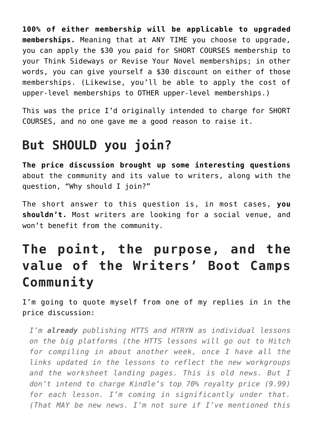**100% of either membership will be applicable to upgraded memberships.** Meaning that at ANY TIME you choose to upgrade, you can apply the \$30 you paid for SHORT COURSES membership to your Think Sideways or Revise Your Novel memberships; in other words, you can give yourself a \$30 discount on either of those memberships. (Likewise, you'll be able to apply the cost of upper-level memberships to OTHER upper-level memberships.)

This was the price I'd originally intended to charge for SHORT COURSES, and no one gave me a good reason to raise it.

## **But SHOULD you join?**

**[The price discussion brought up some interesting questions](https://hollylisle.com/how-much-should-i-charge-for-writers-community-membership/)** about the community and its value to writers, along with the question, "Why should I join?"

The short answer to this question is, in most cases, **you shouldn't.** Most writers are looking for a social venue, and won't benefit from the community.

# **The point, the purpose, and the value of the Writers' Boot Camps Community**

I'm going to quote myself from one of my replies in in the price discussion:

*I'm already publishing HTTS and HTRYN as individual lessons on the big platforms (the HTTS lessons will go out to Hitch for compiling in about another week, once I have all the links updated in the lessons to reflect the new workgroups and the worksheet landing pages. This is old news. But I don't intend to charge Kindle's top 70% royalty price (9.99) for each lesson. I'm coming in significantly under that. (That MAY be new news. I'm not sure if I've mentioned this*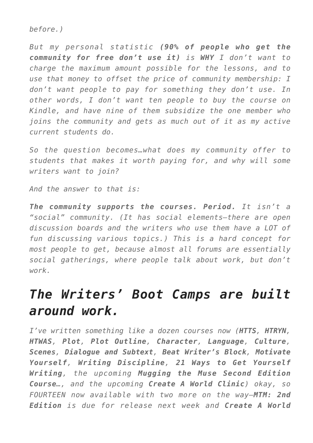*before.)*

*But my personal statistic (90% of people who get the community for free don't use it) is WHY I don't want to charge the maximum amount possible for the lessons, and to use that money to offset the price of community membership: I don't want people to pay for something they don't use. In other words, I don't want ten people to buy the course on Kindle, and have nine of them subsidize the one member who joins the community and gets as much out of it as my active current students do.*

*So the question becomes…what does my community offer to students that makes it worth paying for, and why will some writers want to join?*

*And the answer to that is:*

*The community supports the courses. Period. It isn't a "social" community. (It has social elements–there are open discussion boards and the writers who use them have a LOT of fun discussing various topics.) This is a hard concept for most people to get, because almost all forums are essentially social gatherings, where people talk about work, but don't work.*

#### *The Writers' Boot Camps are built around work.*

*I've written something like a dozen courses now (HTTS, HTRYN, HTWAS, Plot, Plot Outline, Character, Language, Culture, Scenes, Dialogue and Subtext, Beat Writer's Block, Motivate Yourself, Writing Discipline, 21 Ways to Get Yourself Writing, the upcoming Mugging the Muse Second Edition Course…, and the upcoming Create A World Clinic) okay, so FOURTEEN now available with two more on the way—MTM: 2nd Edition is due for release next week and Create A World*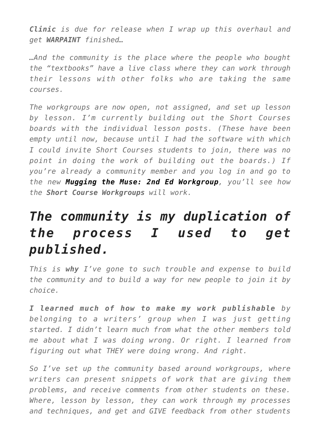*Clinic is due for release when I wrap up this overhaul and get WARPAINT finished…*

*…And the community is the place where the people who bought the "textbooks" have a live class where they can work through their lessons with other folks who are taking the same courses.*

*The workgroups are now open, not assigned, and set up lesson by lesson. I'm currently building out the Short Courses boards with the individual lesson posts. (These have been empty until now, because until I had the software with which I could invite Short Courses students to join, there was no point in doing the work of building out the boards.) If you're already a community member and you log in and go to the new [Mugging the Muse: 2nd Ed Workgroup](http://howtothinksideways.com/forum/viewforum.php?f=248), you'll see how the Short Course Workgroups will work.*

## *The community is my duplication of the process I used to get published.*

*This is why I've gone to such trouble and expense to build the community and to build a way for new people to join it by choice.*

*I learned much of how to make my work publishable by belonging to a writers' group when I was just getting started. I didn't learn much from what the other members told me about what I was doing wrong. Or right. I learned from figuring out what THEY were doing wrong. And right.*

*So I've set up the community based around workgroups, where writers can present snippets of work that are giving them problems, and receive comments from other students on these. Where, lesson by lesson, they can work through my processes and techniques, and get and GIVE feedback from other students*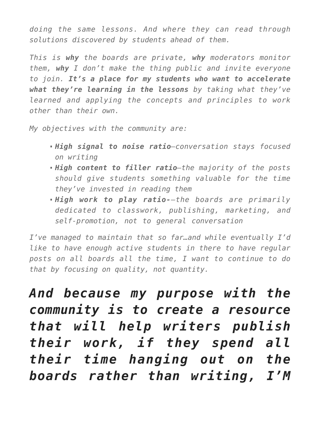*doing the same lessons. And where they can read through solutions discovered by students ahead of them.*

*This is why the boards are private, why moderators monitor them, why I don't make the thing public and invite everyone to join. It's a place for my students who want to accelerate what they're learning in the lessons by taking what they've learned and applying the concepts and principles to work other than their own.*

*My objectives with the community are:*

- *High signal to noise ratio—conversation stays focused on writing*
- *High content to filler ratio—the majority of the posts should give students something valuable for the time they've invested in reading them*
- *High work to play ratio-–the boards are primarily dedicated to classwork, publishing, marketing, and self-promotion, not to general conversation*

*I've managed to maintain that so far…and while eventually I'd like to have enough active students in there to have regular posts on all boards all the time, I want to continue to do that by focusing on quality, not quantity.*

*And because my purpose with the community is to create a resource that will help writers publish their work, if they spend all their time hanging out on the boards rather than writing, I'M*